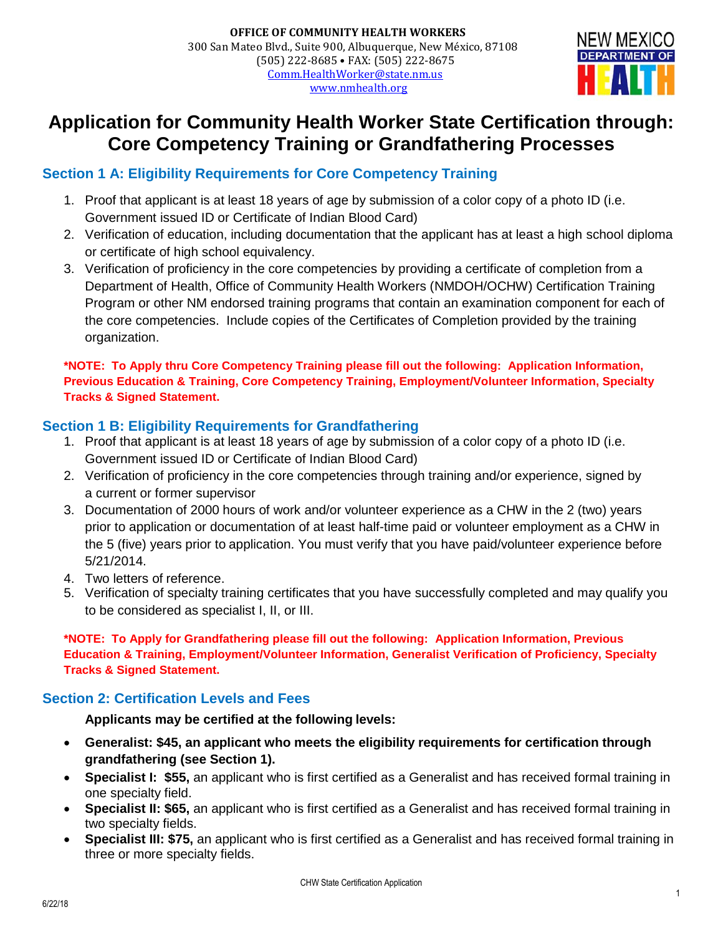

# **Application for Community Health Worker State Certification through: Core Competency Training or Grandfathering Processes**

### **Section 1 A: Eligibility Requirements for Core Competency Training**

- 1. Proof that applicant is at least 18 years of age by submission of a color copy of a photo ID (i.e. Government issued ID or Certificate of Indian Blood Card)
- 2. Verification of education, including documentation that the applicant has at least a high school diploma or certificate of high school equivalency.
- 3. Verification of proficiency in the core competencies by providing a certificate of completion from a Department of Health, Office of Community Health Workers (NMDOH/OCHW) Certification Training Program or other NM endorsed training programs that contain an examination component for each of the core competencies. Include copies of the Certificates of Completion provided by the training organization.

**\*NOTE: To Apply thru Core Competency Training please fill out the following: Application Information, Previous Education & Training, Core Competency Training, Employment/Volunteer Information, Specialty Tracks & Signed Statement.**

### **Section 1 B: Eligibility Requirements for Grandfathering**

- 1. Proof that applicant is at least 18 years of age by submission of a color copy of a photo ID (i.e. Government issued ID or Certificate of Indian Blood Card)
- 2. Verification of proficiency in the core competencies through training and/or experience, signed by a current or former supervisor
- 3. Documentation of 2000 hours of work and/or volunteer experience as a CHW in the 2 (two) years prior to application or documentation of at least half-time paid or volunteer employment as a CHW in the 5 (five) years prior to application. You must verify that you have paid/volunteer experience before 5/21/2014.
- 4. Two letters of reference.
- 5. Verification of specialty training certificates that you have successfully completed and may qualify you to be considered as specialist I, II, or III.

**\*NOTE: To Apply for Grandfathering please fill out the following: Application Information, Previous Education & Training, Employment/Volunteer Information, Generalist Verification of Proficiency, Specialty Tracks & Signed Statement.**

#### **Section 2: Certification Levels and Fees**

**Applicants may be certified at the following levels:**

- **Generalist: \$45, an applicant who meets the eligibility requirements for certification through grandfathering (see Section 1).**
- **Specialist I: \$55,** an applicant who is first certified as a Generalist and has received formal training in one specialty field.
- **Specialist II: \$65,** an applicant who is first certified as a Generalist and has received formal training in two specialty fields.
- **Specialist III: \$75,** an applicant who is first certified as a Generalist and has received formal training in three or more specialty fields.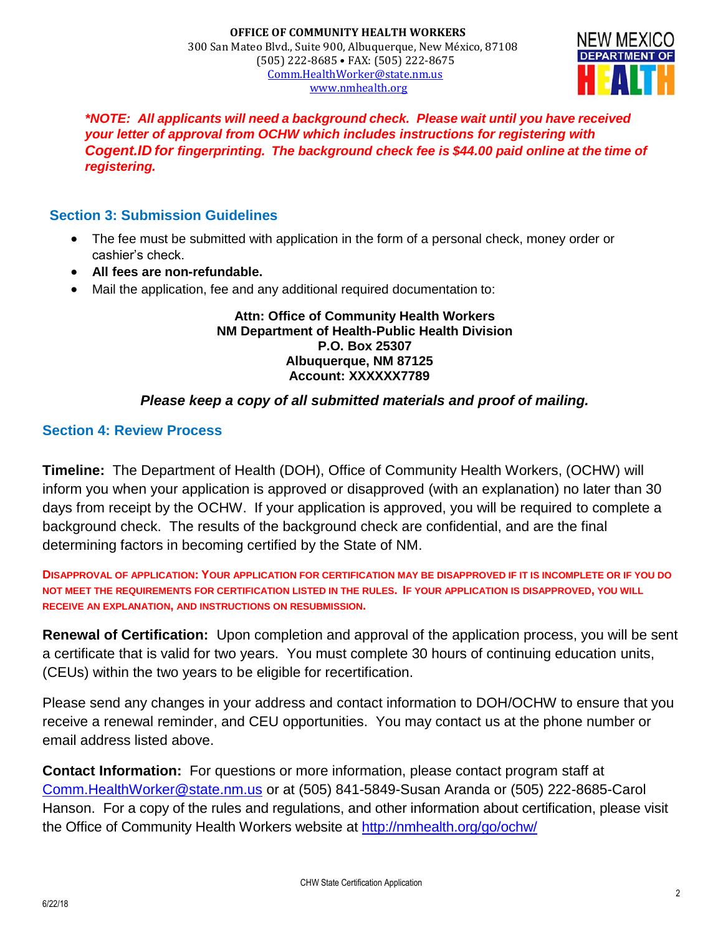

*\*NOTE: All applicants will need a background check. Please wait until you have received your letter of approval from OCHW which includes instructions for registering with Cogent.ID for fingerprinting. The background check fee is \$44.00 paid online at the time of registering.*

#### **Section 3: Submission Guidelines**

- The fee must be submitted with application in the form of a personal check, money order or cashier's check.
- **All fees are non-refundable.**
- Mail the application, fee and any additional required documentation to:

#### **Attn: Office of Community Health Workers NM Department of Health-Public Health Division P.O. Box 25307 Albuquerque, NM 87125 Account: XXXXXX7789**

#### *Please keep a copy of all submitted materials and proof of mailing.*

#### **Section 4: Review Process**

**Timeline:** The Department of Health (DOH), Office of Community Health Workers, (OCHW) will inform you when your application is approved or disapproved (with an explanation) no later than 30 days from receipt by the OCHW. If your application is approved, you will be required to complete a background check. The results of the background check are confidential, and are the final determining factors in becoming certified by the State of NM.

**DISAPPROVAL OF APPLICATION: YOUR APPLICATION FOR CERTIFICATION MAY BE DISAPPROVED IF IT IS INCOMPLETE OR IF YOU DO NOT MEET THE REQUIREMENTS FOR CERTIFICATION LISTED IN THE RULES. IF YOUR APPLICATION IS DISAPPROVED, YOU WILL RECEIVE AN EXPLANATION, AND INSTRUCTIONS ON RESUBMISSION.**

**Renewal of Certification:** Upon completion and approval of the application process, you will be sent a certificate that is valid for two years. You must complete 30 hours of continuing education units, (CEUs) within the two years to be eligible for recertification.

Please send any changes in your address and contact information to DOH/OCHW to ensure that you receive a renewal reminder, and CEU opportunities. You may contact us at the phone number or email address listed above.

**Contact Information:** For questions or more information, please contact program staff at [Comm.HealthWorker@state.nm.us](mailto:Comm.HealthWorker@state.nm.us) or at (505) 841-5849-Susan Aranda or (505) 222-8685-Carol Hanson. For a copy of the rules and regulations, and other information about certification, please visit the Office of Community Health Workers website at <http://nmhealth.org/go/ochw/>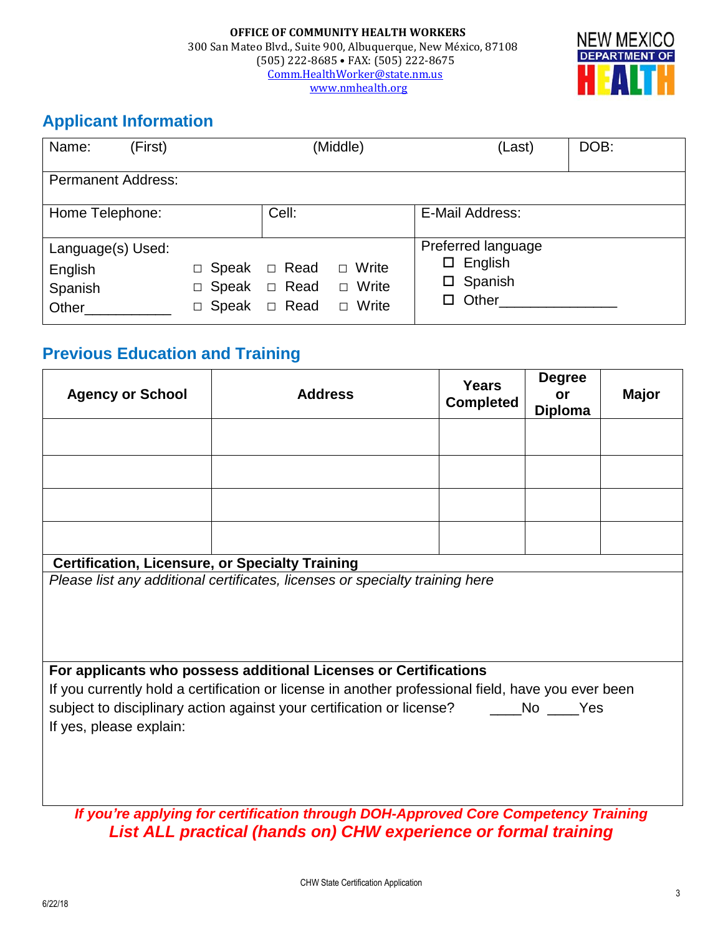

## **Applicant Information**

| Name:<br>(First)                                 | (Middle)                                              |                            |                                                       | (Last)                                                                     | DOB: |
|--------------------------------------------------|-------------------------------------------------------|----------------------------|-------------------------------------------------------|----------------------------------------------------------------------------|------|
| <b>Permanent Address:</b>                        |                                                       |                            |                                                       |                                                                            |      |
| Home Telephone:                                  |                                                       | Cell:                      |                                                       | E-Mail Address:                                                            |      |
| Language(s) Used:<br>English<br>Spanish<br>Other | Speak<br>$\Box$<br>Speak<br>$\Box$<br>Speak<br>$\Box$ | □ Read<br>□ Read<br>□ Read | Write<br>$\Box$<br>Write<br>$\Box$<br>Write<br>$\Box$ | Preferred language<br>$\square$ English<br>$\square$ Spanish<br>Other<br>□ |      |

## **Previous Education and Training**

| <b>Agency or School</b>                                | <b>Address</b>                                                                                     | <b>Years</b><br><b>Completed</b> | <b>Degree</b><br>or<br><b>Diploma</b> | <b>Major</b> |
|--------------------------------------------------------|----------------------------------------------------------------------------------------------------|----------------------------------|---------------------------------------|--------------|
|                                                        |                                                                                                    |                                  |                                       |              |
|                                                        |                                                                                                    |                                  |                                       |              |
|                                                        |                                                                                                    |                                  |                                       |              |
|                                                        |                                                                                                    |                                  |                                       |              |
| <b>Certification, Licensure, or Specialty Training</b> | Please list any additional certificates, licenses or specialty training here                       |                                  |                                       |              |
|                                                        |                                                                                                    |                                  |                                       |              |
|                                                        | For applicants who possess additional Licenses or Certifications                                   |                                  |                                       |              |
|                                                        | If you currently hold a certification or license in another professional field, have you ever been |                                  |                                       |              |
| If yes, please explain:                                | subject to disciplinary action against your certification or license? ________No _____Yes          |                                  |                                       |              |
|                                                        | If you're applying for certification through DOH-Approved Core Competency Training                 |                                  |                                       |              |

*List ALL practical (hands on) CHW experience or formal training*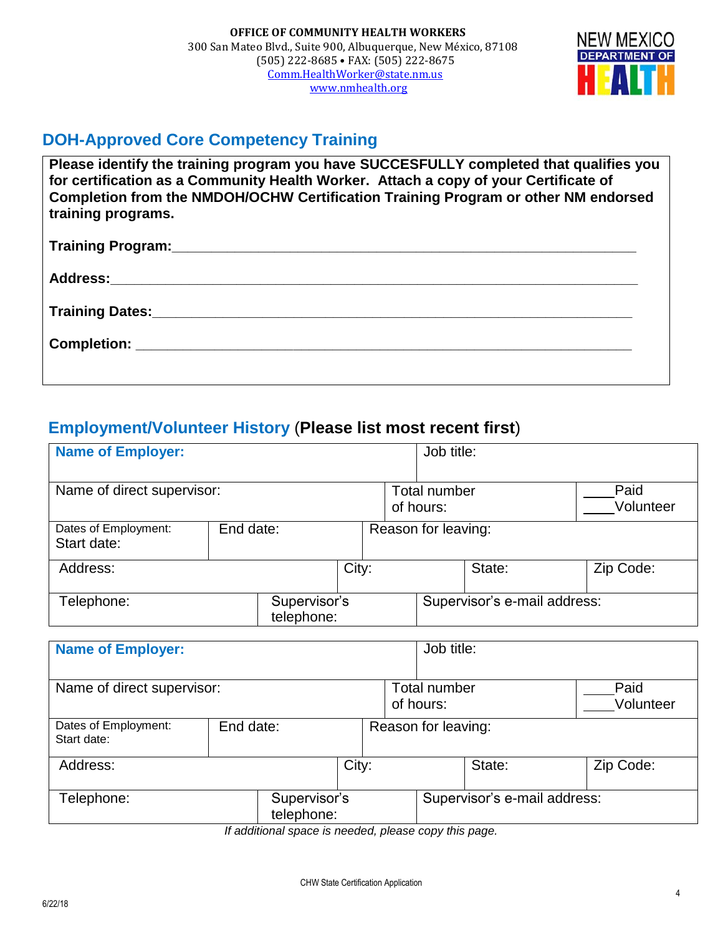

## **DOH-Approved Core Competency Training**

**Please identify the training program you have SUCCESFULLY completed that qualifies you for certification as a Community Health Worker. Attach a copy of your Certificate of Completion from the NMDOH/OCHW Certification Training Program or other NM endorsed training programs.**

## **Employment/Volunteer History** (**Please list most recent first**)

| <b>Name of Employer:</b>            |                            |                            |       | Job title:                                            |                     |                              |                   |           |
|-------------------------------------|----------------------------|----------------------------|-------|-------------------------------------------------------|---------------------|------------------------------|-------------------|-----------|
| Name of direct supervisor:          |                            |                            |       | Total number<br>of hours:                             |                     |                              | Paid<br>Volunteer |           |
| Dates of Employment:<br>Start date: |                            | End date:                  |       |                                                       | Reason for leaving: |                              |                   |           |
| Address:                            |                            |                            | City: |                                                       |                     |                              | State:            | Zip Code: |
| Telephone:                          |                            | Supervisor's<br>telephone: |       |                                                       |                     | Supervisor's e-mail address: |                   |           |
| <b>Name of Employer:</b>            |                            |                            |       |                                                       | Job title:          |                              |                   |           |
| Name of direct supervisor:          |                            |                            |       | Paid<br><b>Total number</b><br>Volunteer<br>of hours: |                     |                              |                   |           |
| Dates of Employment:<br>Start date: | End date:                  |                            |       | Reason for leaving:                                   |                     |                              |                   |           |
| Address:                            |                            |                            | City: |                                                       |                     |                              | State:            | Zip Code: |
| Telephone:                          | Supervisor's<br>telephone: |                            |       |                                                       |                     | Supervisor's e-mail address: |                   |           |

*If additional space is needed, please copy this page.*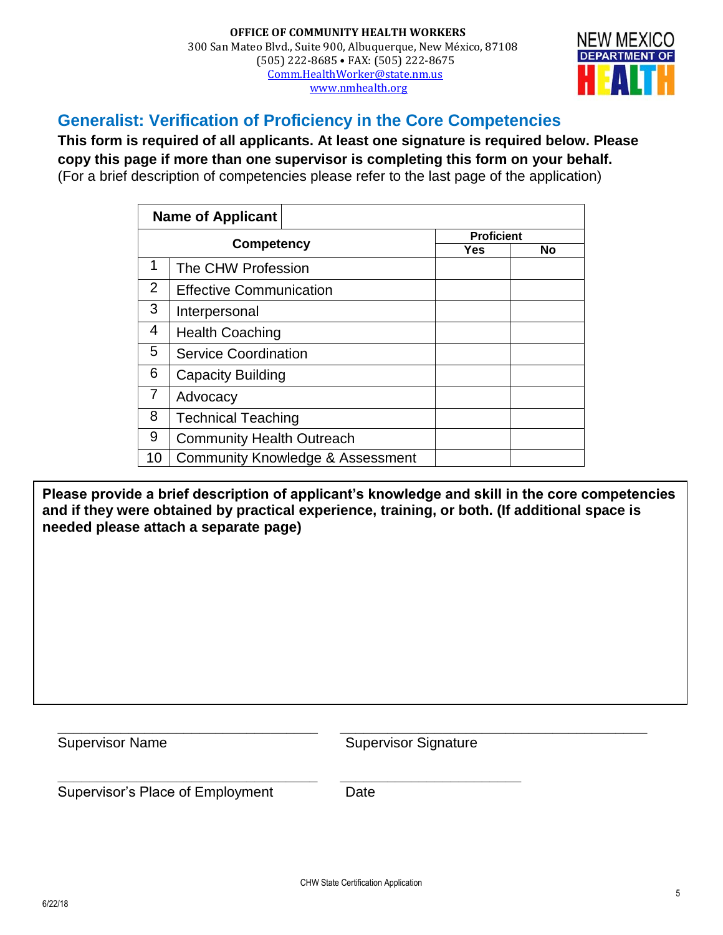#### **OFFICE OF COMMUNITY HEALTH WORKERS** 300 San Mateo Blvd., Suite 900, Albuquerque, New México, 87108 (505) 222-8685 • FAX: (505) 222-8675 [Comm.HealthWorker@state.nm.us](mailto:Comm.HealthWorker@state.nm.us) [www.nmhealth.org](http://www.nmhealth.org/)



### **Generalist: Verification of Proficiency in the Core Competencies**

**This form is required of all applicants. At least one signature is required below. Please copy this page if more than one supervisor is completing this form on your behalf.** (For a brief description of competencies please refer to the last page of the application)

|                | <b>Name of Applicant</b>                    |                   |    |
|----------------|---------------------------------------------|-------------------|----|
|                |                                             | <b>Proficient</b> |    |
|                | <b>Competency</b>                           | <b>Yes</b>        | No |
| 1              | The CHW Profession                          |                   |    |
| 2              | <b>Effective Communication</b>              |                   |    |
| 3              | Interpersonal                               |                   |    |
| 4              | <b>Health Coaching</b>                      |                   |    |
| 5              | <b>Service Coordination</b>                 |                   |    |
| 6              | <b>Capacity Building</b>                    |                   |    |
| $\overline{7}$ | Advocacy                                    |                   |    |
| 8              | <b>Technical Teaching</b>                   |                   |    |
| 9              | <b>Community Health Outreach</b>            |                   |    |
| 10             | <b>Community Knowledge &amp; Assessment</b> |                   |    |

**Please provide a brief description of applicant's knowledge and skill in the core competencies and if they were obtained by practical experience, training, or both. (If additional space is needed please attach a separate page)**

**\_\_\_\_\_\_\_\_\_\_\_\_\_\_\_\_\_\_\_\_\_\_\_\_\_\_\_\_\_\_\_\_\_ \_\_\_\_\_\_\_\_\_\_\_\_\_\_\_\_\_\_\_\_\_\_\_\_\_\_\_\_\_\_\_\_\_\_\_\_\_\_\_** Supervisor Name Supervisor Signature

**\_\_\_\_\_\_\_\_\_\_\_\_\_\_\_\_\_\_\_\_\_\_\_\_\_\_\_\_\_\_\_\_\_ \_\_\_\_\_\_\_\_\_\_\_\_\_\_\_\_\_\_\_\_\_\_\_** Supervisor's Place of Employment Date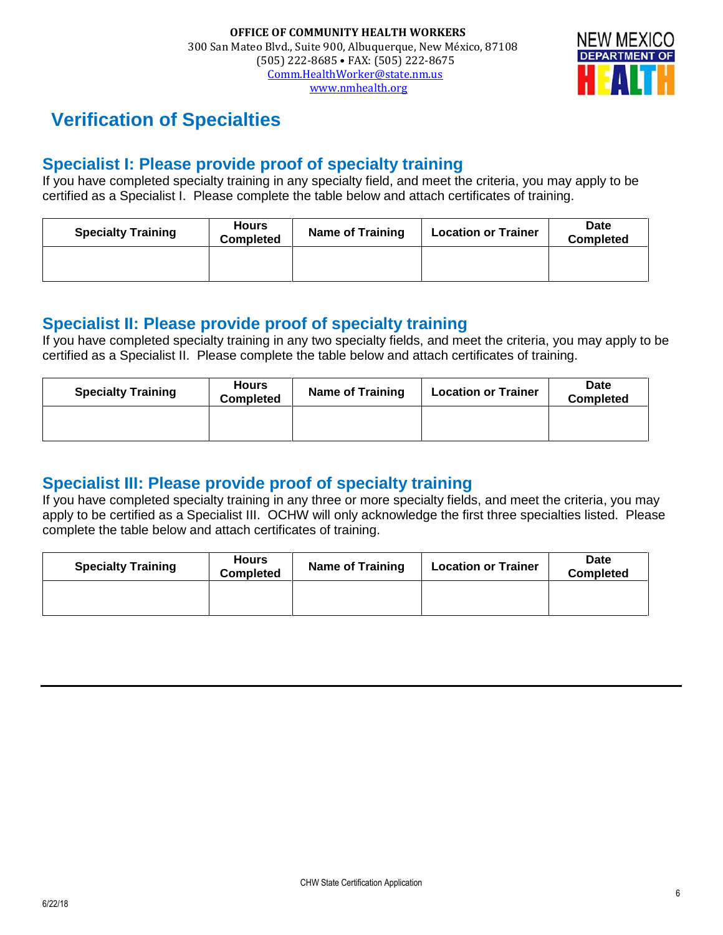

# **Verification of Specialties**

## **Specialist I: Please provide proof of specialty training**

If you have completed specialty training in any specialty field, and meet the criteria, you may apply to be certified as a Specialist I. Please complete the table below and attach certificates of training.

| <b>Specialty Training</b> | <b>Hours</b><br><b>Completed</b> | <b>Name of Training</b> | <b>Location or Trainer</b> | Date<br><b>Completed</b> |
|---------------------------|----------------------------------|-------------------------|----------------------------|--------------------------|
|                           |                                  |                         |                            |                          |

## **Specialist II: Please provide proof of specialty training**

If you have completed specialty training in any two specialty fields, and meet the criteria, you may apply to be certified as a Specialist II. Please complete the table below and attach certificates of training.

| <b>Specialty Training</b> | <b>Hours</b><br><b>Completed</b> | <b>Name of Training</b> | <b>Location or Trainer</b> | Date<br><b>Completed</b> |
|---------------------------|----------------------------------|-------------------------|----------------------------|--------------------------|
|                           |                                  |                         |                            |                          |

## **Specialist III: Please provide proof of specialty training**

If you have completed specialty training in any three or more specialty fields, and meet the criteria, you may apply to be certified as a Specialist III. OCHW will only acknowledge the first three specialties listed. Please complete the table below and attach certificates of training.

| <b>Specialty Training</b> | <b>Hours</b><br><b>Completed</b> | <b>Name of Training</b> | <b>Location or Trainer</b> | Date<br><b>Completed</b> |
|---------------------------|----------------------------------|-------------------------|----------------------------|--------------------------|
|                           |                                  |                         |                            |                          |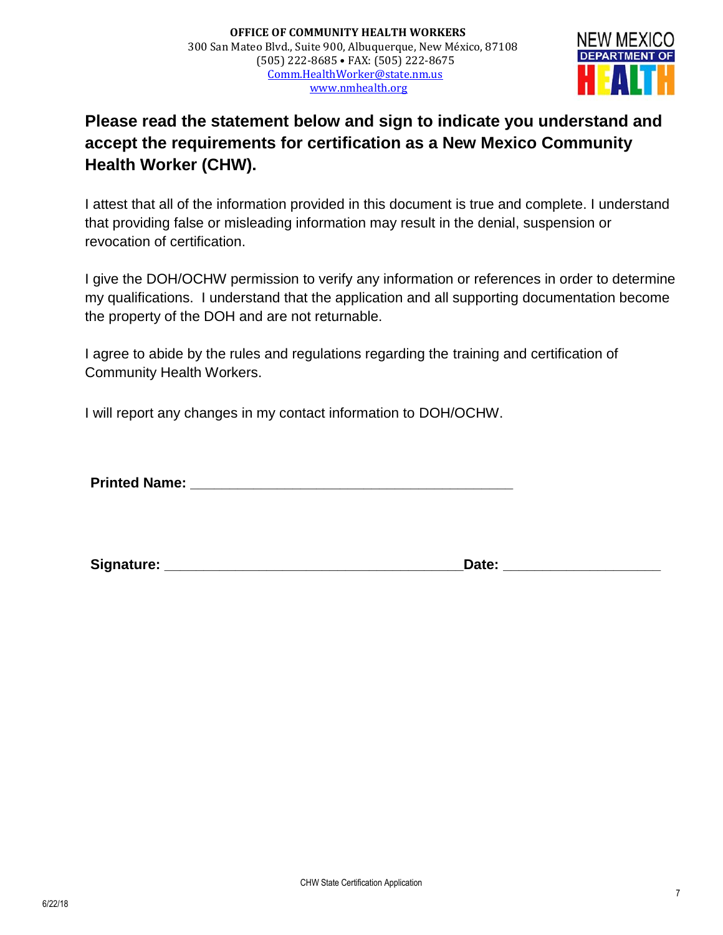

## **Please read the statement below and sign to indicate you understand and accept the requirements for certification as a New Mexico Community Health Worker (CHW).**

I attest that all of the information provided in this document is true and complete. I understand that providing false or misleading information may result in the denial, suspension or revocation of certification.

I give the DOH/OCHW permission to verify any information or references in order to determine my qualifications. I understand that the application and all supporting documentation become the property of the DOH and are not returnable.

I agree to abide by the rules and regulations regarding the training and certification of Community Health Workers.

I will report any changes in my contact information to DOH/OCHW.

**Printed Name: \_\_\_\_\_\_\_\_\_\_\_\_\_\_\_\_\_\_\_\_\_\_\_\_\_\_\_\_\_\_\_\_\_\_\_\_\_\_\_\_\_**

**Signature: \_\_\_\_\_\_\_\_\_\_\_\_\_\_\_\_\_\_\_\_\_\_\_\_\_\_\_\_\_\_\_\_\_\_\_\_\_\_Date: \_\_\_\_\_\_\_\_\_\_\_\_\_\_\_\_\_\_\_\_**